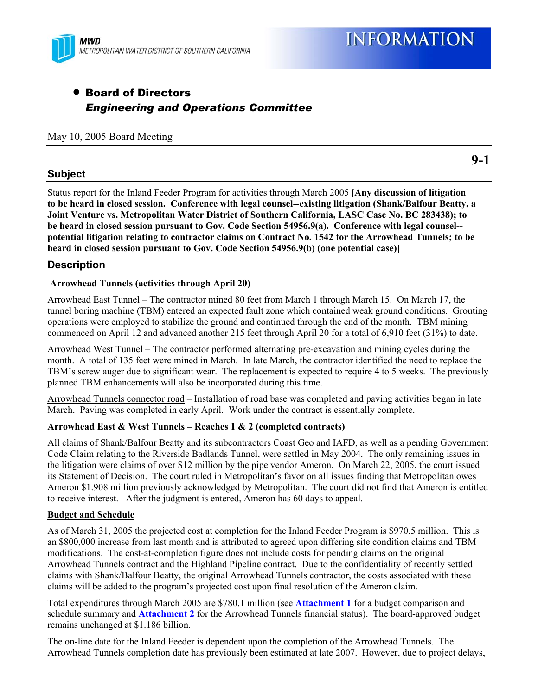

# • Board of Directors *Engineering and Operations Committee*

May 10, 2005 Board Meeting

# **Subject**

Status report for the Inland Feeder Program for activities through March 2005 **[Any discussion of litigation to be heard in closed session. Conference with legal counsel--existing litigation (Shank/Balfour Beatty, a Joint Venture vs. Metropolitan Water District of Southern California, LASC Case No. BC 283438); to be heard in closed session pursuant to Gov. Code Section 54956.9(a). Conference with legal counsel- potential litigation relating to contractor claims on Contract No. 1542 for the Arrowhead Tunnels; to be heard in closed session pursuant to Gov. Code Section 54956.9(b) (one potential case)]**

# **Description**

### **Arrowhead Tunnels (activities through April 20)**

Arrowhead East Tunnel – The contractor mined 80 feet from March 1 through March 15. On March 17, the tunnel boring machine (TBM) entered an expected fault zone which contained weak ground conditions. Grouting operations were employed to stabilize the ground and continued through the end of the month. TBM mining commenced on April 12 and advanced another 215 feet through April 20 for a total of 6,910 feet (31%) to date.

Arrowhead West Tunnel – The contractor performed alternating pre-excavation and mining cycles during the month. A total of 135 feet were mined in March. In late March, the contractor identified the need to replace the TBM's screw auger due to significant wear. The replacement is expected to require 4 to 5 weeks. The previously planned TBM enhancements will also be incorporated during this time.

Arrowhead Tunnels connector road – Installation of road base was completed and paving activities began in late March. Paving was completed in early April. Work under the contract is essentially complete.

### **Arrowhead East & West Tunnels – Reaches 1 & 2 (completed contracts)**

All claims of Shank/Balfour Beatty and its subcontractors Coast Geo and IAFD, as well as a pending Government Code Claim relating to the Riverside Badlands Tunnel, were settled in May 2004. The only remaining issues in the litigation were claims of over \$12 million by the pipe vendor Ameron. On March 22, 2005, the court issued its Statement of Decision. The court ruled in Metropolitan's favor on all issues finding that Metropolitan owes Ameron \$1.908 million previously acknowledged by Metropolitan. The court did not find that Ameron is entitled to receive interest. After the judgment is entered, Ameron has 60 days to appeal.

#### **Budget and Schedule**

As of March 31, 2005 the projected cost at completion for the Inland Feeder Program is \$970.5 million. This is an \$800,000 increase from last month and is attributed to agreed upon differing site condition claims and TBM modifications. The cost-at-completion figure does not include costs for pending claims on the original Arrowhead Tunnels contract and the Highland Pipeline contract. Due to the confidentiality of recently settled claims with Shank/Balfour Beatty, the original Arrowhead Tunnels contractor, the costs associated with these claims will be added to the program's projected cost upon final resolution of the Ameron claim.

Total expenditures through March 2005 are \$780.1 million (see **Attachment 1** for a budget comparison and schedule summary and **Attachment 2** for the Arrowhead Tunnels financial status). The board-approved budget remains unchanged at \$1.186 billion.

The on-line date for the Inland Feeder is dependent upon the completion of the Arrowhead Tunnels. The Arrowhead Tunnels completion date has previously been estimated at late 2007. However, due to project delays,

**9-1**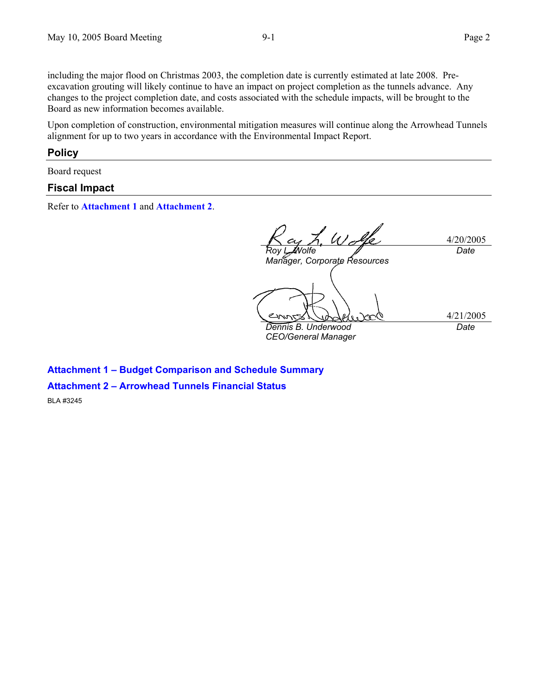including the major flood on Christmas 2003, the completion date is currently estimated at late 2008. Preexcavation grouting will likely continue to have an impact on project completion as the tunnels advance. Any changes to the project completion date, and costs associated with the schedule impacts, will be brought to the Board as new information becomes available.

Upon completion of construction, environmental mitigation measures will continue along the Arrowhead Tunnels alignment for up to two years in accordance with the Environmental Impact Report.

#### **Policy**

Board request

#### **Fiscal Impact**

Refer to **Attachment 1** and **Attachment 2**.

4/20/2005 *Roy L. Wolfe Manager, Corporate Resources Date*  4/21/2005 *Dennis B. Underwood CEO/General Manager Date* 

**Attachment 1 – Budget Comparison and Schedule Summary Attachment 2 – Arrowhead Tunnels Financial Status**  BLA #3245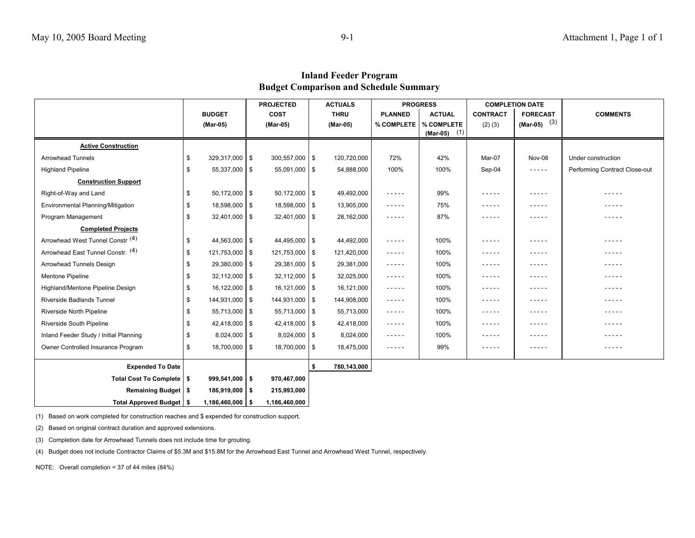| <b>Inland Feeder Program</b>           |  |
|----------------------------------------|--|
| Budget Comparison and Schedule Summary |  |

|                                        | <b>PROJECTED</b>        |  | <b>ACTUALS</b>    |      | <b>PROGRESS</b> |                                    | <b>COMPLETION DATE</b>                    |                 |                                   |                               |
|----------------------------------------|-------------------------|--|-------------------|------|-----------------|------------------------------------|-------------------------------------------|-----------------|-----------------------------------|-------------------------------|
|                                        | <b>BUDGET</b>           |  | <b>COST</b>       |      | <b>THRU</b>     | <b>PLANNED</b>                     | <b>ACTUAL</b>                             | <b>CONTRACT</b> | <b>FORECAST</b><br>(Mar-05) $(3)$ | <b>COMMENTS</b>               |
|                                        | (Mar-05)                |  | (Mar-05)          |      | (Mar-05)        |                                    | % COMPLETE   % COMPLETE<br>$(Mar-05)$ (1) | $(2)$ $(3)$     |                                   |                               |
| <b>Active Construction</b>             |                         |  |                   |      |                 |                                    |                                           |                 |                                   |                               |
| <b>Arrowhead Tunnels</b>               | \$<br>$329,317,000$ \$  |  | $300,557,000$ \$  |      | 120,720,000     | 72%                                | 42%                                       | Mar-07          | Nov-08                            | Under construction            |
| <b>Highland Pipeline</b>               | \$<br>$55,337,000$ \$   |  | $55,091,000$ \$   |      | 54,888,000      | 100%                               | 100%                                      | Sep-04          | $- - - - -$                       | Performing Contract Close-out |
| <b>Construction Support</b>            |                         |  |                   |      |                 |                                    |                                           |                 |                                   |                               |
| Right-of-Way and Land                  | \$<br>$50,172,000$ \$   |  | $50,172,000$ \ \$ |      | 49,492,000      | $- - - - -$                        | 99%                                       | -----           | - - - - -                         | -----                         |
| Environmental Planning/Mitigation      | \$<br>18,598,000 \$     |  | 18,598,000 \$     |      | 13,905,000      | $- - - - -$                        | 75%                                       | $- - - - -$     | -----                             | $- - - - -$                   |
| Program Management                     | \$<br>$32,401,000$ \ \$ |  | $32,401,000$ \$   |      | 28,162,000      | $- - - - -$                        | 87%                                       | -----           | -----                             | $- - - - -$                   |
| <b>Completed Projects</b>              |                         |  |                   |      |                 |                                    |                                           |                 |                                   |                               |
| Arrowhead West Tunnel Constr. (4)      | \$<br>$44,563,000$ \$   |  | 44,495,000 \$     |      | 44,492,000      | $- - - - -$                        | 100%                                      | -----           | -----                             | -----                         |
| Arrowhead East Tunnel Constr. (4)      | \$<br>$121,753,000$ \$  |  | 121,753,000 \$    |      | 121,420,000     | $\sim$ $\sim$ $\sim$ $\sim$ $\sim$ | 100%                                      | -----           | -----                             | $- - - - -$                   |
| Arrowhead Tunnels Design               | \$<br>29,380,000 \$     |  | 29,381,000 \$     |      | 29,381,000      | $- - - - -$                        | 100%                                      | -----           | -----                             | -----                         |
| Mentone Pipeline                       | \$<br>$32,112,000$ \ \$ |  | $32,112,000$ \ \$ |      | 32,025,000      | $- - - - -$                        | 100%                                      | -----           | -----                             | $- - - - -$                   |
| Highland/Mentone Pipeline Design       | \$<br>$16,122,000$ \$   |  | $16,121,000$ \ \$ |      | 16,121,000      | $- - - - -$                        | 100%                                      | $- - - - -$     | $- - - - -$                       | $- - - - -$                   |
| <b>Riverside Badlands Tunnel</b>       | \$<br>144,931,000 \$    |  | 144,931,000 \$    |      | 144,908,000     | $- - - - -$                        | 100%                                      | -----           | -----                             | $- - - - -$                   |
| Riverside North Pipeline               | \$<br>55,713,000 \$     |  | $55,713,000$ \ \$ |      | 55,713,000      | $- - - - -$                        | 100%                                      | -----           | -----                             | $- - - - -$                   |
| Riverside South Pipeline               | \$<br>$42,418,000$ \ \$ |  | $42,418,000$ \ \$ |      | 42,418,000      | $- - - - -$                        | 100%                                      | -----           | -----                             | -----                         |
| Inland Feeder Study / Initial Planning | \$<br>$8,024,000$ \$    |  | $8,024,000$ \ \$  |      | 8,024,000       | $- - - - -$                        | 100%                                      | -----           | -----                             | -----                         |
| Owner Controlled Insurance Program     | \$<br>18,700,000 \$     |  | 18,700,000 \$     |      | 18,475,000      | $- - - - -$                        | 99%                                       | $- - - - -$     | -----                             | -----                         |
| <b>Expended To Date</b>                |                         |  |                   | - \$ | 780,143,000     |                                    |                                           |                 |                                   |                               |
| Total Cost To Complete   \$            | $999,541,000$ \$        |  | 970,467,000       |      |                 |                                    |                                           |                 |                                   |                               |
| Remaining Budget   \$                  | $186,919,000$   \$      |  | 215,993,000       |      |                 |                                    |                                           |                 |                                   |                               |
| Total Approved Budget   \$             | $1,186,460,000$ \$      |  | 1,186,460,000     |      |                 |                                    |                                           |                 |                                   |                               |

(1) Based on work completed for construction reaches and \$ expended for construction support.

(2) Based on original contract duration and approved extensions.

(3) Completion date for Arrowhead Tunnels does not include time for grouting.

(4) Budget does not include Contractor Claims of \$5.3M and \$15.8M for the Arrowhead East Tunnel and Arrowhead West Tunnel, respectively.

NOTE: Overall completion = 37 of 44 miles (84%)